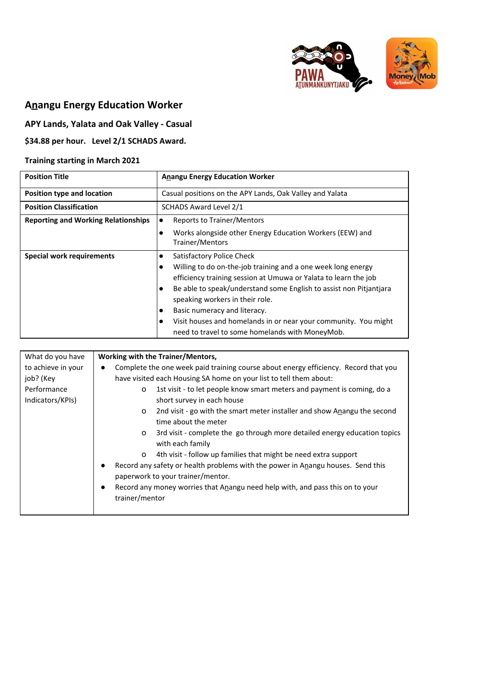



# **Anangu Energy Education Worker**

## **APY Lands, Yalata and Oak Valley - Casual**

## **\$34.88 per hour. Level 2/1 SCHADS Award.**

### **Training starting in March 2021**

| <b>Position Title</b>                      | <b>Anangu Energy Education Worker</b>                                                                                                                                                                                                                                                                                                                                                                                                                                    |
|--------------------------------------------|--------------------------------------------------------------------------------------------------------------------------------------------------------------------------------------------------------------------------------------------------------------------------------------------------------------------------------------------------------------------------------------------------------------------------------------------------------------------------|
| <b>Position type and location</b>          | Casual positions on the APY Lands, Oak Valley and Yalata                                                                                                                                                                                                                                                                                                                                                                                                                 |
| <b>Position Classification</b>             | SCHADS Award Level 2/1                                                                                                                                                                                                                                                                                                                                                                                                                                                   |
| <b>Reporting and Working Relationships</b> | <b>Reports to Trainer/Mentors</b><br>$\bullet$                                                                                                                                                                                                                                                                                                                                                                                                                           |
|                                            | Works alongside other Energy Education Workers (EEW) and<br>Trainer/Mentors                                                                                                                                                                                                                                                                                                                                                                                              |
| <b>Special work requirements</b>           | Satisfactory Police Check<br>$\bullet$<br>Willing to do on-the-job training and a one week long energy<br>efficiency training session at Umuwa or Yalata to learn the job<br>Be able to speak/understand some English to assist non Pitjantjara<br>lo<br>speaking workers in their role.<br>Basic numeracy and literacy.<br>$\bullet$<br>Visit houses and homelands in or near your community. You might<br>$\bullet$<br>need to travel to some homelands with MoneyMob. |

| What do you have   | Working with the Trainer/Mentors,                                                                        |
|--------------------|----------------------------------------------------------------------------------------------------------|
| to achieve in your | Complete the one week paid training course about energy efficiency. Record that you                      |
| job? (Key          | have visited each Housing SA home on your list to tell them about:                                       |
| Performance        | 1st visit - to let people know smart meters and payment is coming, do a<br>o                             |
| Indicators/KPIs)   | short survey in each house                                                                               |
|                    | 2nd visit - go with the smart meter installer and show Anangu the second<br>$\circ$                      |
|                    | time about the meter                                                                                     |
|                    | 3rd visit - complete the go through more detailed energy education topics<br>$\circ$<br>with each family |
|                    | 4th visit - follow up families that might be need extra support<br>$\circ$                               |
|                    | Record any safety or health problems with the power in Anangu houses. Send this                          |
|                    |                                                                                                          |
|                    | paperwork to your trainer/mentor.                                                                        |
|                    | Record any money worries that Anangu need help with, and pass this on to your<br>$\bullet$               |
|                    | trainer/mentor                                                                                           |
|                    |                                                                                                          |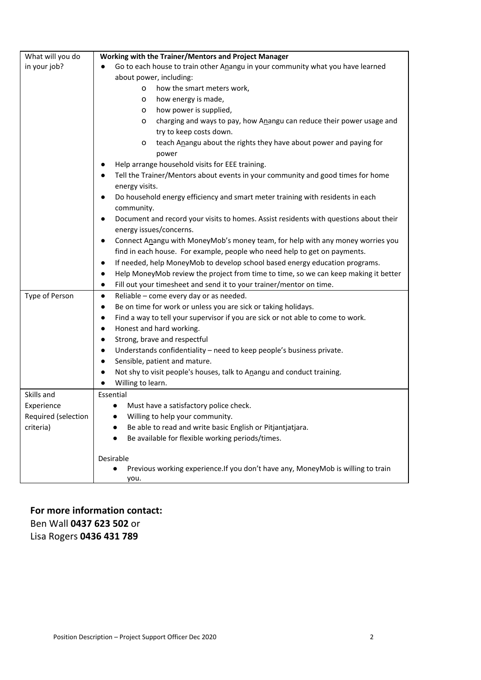| What will you do    | Working with the Trainer/Mentors and Project Manager                                               |
|---------------------|----------------------------------------------------------------------------------------------------|
| in your job?        | Go to each house to train other Anangu in your community what you have learned                     |
|                     | about power, including:                                                                            |
|                     | how the smart meters work,<br>$\circ$                                                              |
|                     | how energy is made,<br>o                                                                           |
|                     | how power is supplied,<br>0                                                                        |
|                     | charging and ways to pay, how Anangu can reduce their power usage and<br>0                         |
|                     | try to keep costs down.                                                                            |
|                     | teach Anangu about the rights they have about power and paying for<br>o                            |
|                     | power                                                                                              |
|                     | Help arrange household visits for EEE training.                                                    |
|                     | Tell the Trainer/Mentors about events in your community and good times for home<br>$\bullet$       |
|                     | energy visits.                                                                                     |
|                     | Do household energy efficiency and smart meter training with residents in each                     |
|                     | community.                                                                                         |
|                     | Document and record your visits to homes. Assist residents with questions about their<br>$\bullet$ |
|                     | energy issues/concerns.                                                                            |
|                     | Connect Anangu with MoneyMob's money team, for help with any money worries you<br>$\bullet$        |
|                     | find in each house. For example, people who need help to get on payments.                          |
|                     | If needed, help MoneyMob to develop school based energy education programs.<br>$\bullet$           |
|                     | Help MoneyMob review the project from time to time, so we can keep making it better<br>$\bullet$   |
|                     | Fill out your timesheet and send it to your trainer/mentor on time.<br>$\bullet$                   |
| Type of Person      | Reliable - come every day or as needed.<br>$\bullet$                                               |
|                     | Be on time for work or unless you are sick or taking holidays.<br>$\bullet$                        |
|                     | Find a way to tell your supervisor if you are sick or not able to come to work.<br>$\bullet$       |
|                     | Honest and hard working.<br>$\bullet$                                                              |
|                     | Strong, brave and respectful<br>$\bullet$                                                          |
|                     | Understands confidentiality - need to keep people's business private.<br>$\bullet$                 |
|                     | Sensible, patient and mature.<br>$\bullet$                                                         |
|                     | Not shy to visit people's houses, talk to Anangu and conduct training.<br>$\bullet$                |
|                     | Willing to learn.<br>$\bullet$                                                                     |
| Skills and          | Essential                                                                                          |
| Experience          | Must have a satisfactory police check.<br>$\bullet$                                                |
| Required (selection | Willing to help your community.                                                                    |
| criteria)           | Be able to read and write basic English or Pitjantjatjara.                                         |
|                     | Be available for flexible working periods/times.                                                   |
|                     |                                                                                                    |
|                     | Desirable<br>Previous working experience. If you don't have any, MoneyMob is willing to train      |
|                     | you.                                                                                               |
|                     |                                                                                                    |

## **For more information contact:** Ben Wall **0437 623 502** or Lisa Rogers **0436 431 789**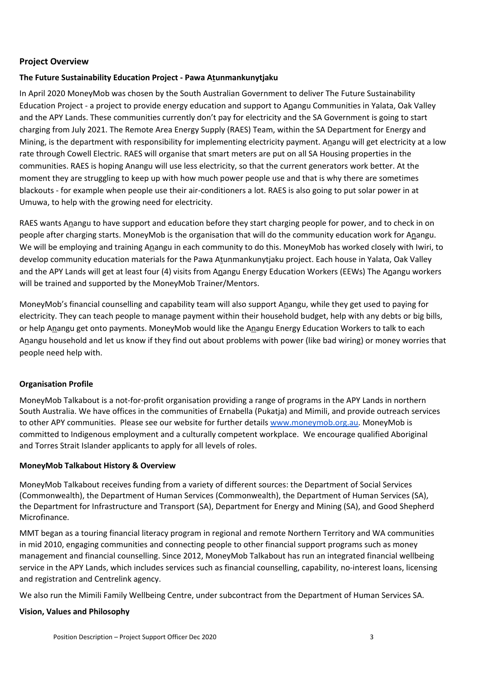#### **Project Overview**

#### **The Future Sustainability Education Project - Pawa Atunmankunytjaku**

In April 2020 MoneyMob was chosen by the South Australian Government to deliver The Future Sustainability Education Project - a project to provide energy education and support to Anangu Communities in Yalata, Oak Valley and the APY Lands. These communities currently don't pay for electricity and the SA Government is going to start charging from July 2021. The Remote Area Energy Supply (RAES) Team, within the SA Department for Energy and Mining, is the department with responsibility for implementing electricity payment. Anangu will get electricity at a low rate through Cowell Electric. RAES will organise that smart meters are put on all SA Housing properties in the communities. RAES is hoping Anangu will use less electricity, so that the current generators work better. At the moment they are struggling to keep up with how much power people use and that is why there are sometimes blackouts - for example when people use their air-conditioners a lot. RAES is also going to put solar power in at Umuwa, to help with the growing need for electricity.

RAES wants Anangu to have support and education before they start charging people for power, and to check in on people after charging starts. MoneyMob is the organisation that will do the community education work for Anangu. We will be employing and training Anangu in each community to do this. MoneyMob has worked closely with Iwiri, to develop community education materials for the Pawa Atunmankunytjaku project. Each house in Yalata, Oak Valley and the APY Lands will get at least four (4) visits from Anangu Energy Education Workers (EEWs) The Anangu workers will be trained and supported by the MoneyMob Trainer/Mentors.

MoneyMob's financial counselling and capability team will also support Anangu, while they get used to paying for electricity. They can teach people to manage payment within their household budget, help with any debts or big bills, or help Anangu get onto payments. MoneyMob would like the Anangu Energy Education Workers to talk to each Anangu household and let us know if they find out about problems with power (like bad wiring) or money worries that people need help with.

#### **Organisation Profile**

MoneyMob Talkabout is a not-for-profit organisation providing a range of programs in the APY Lands in northern South Australia. We have offices in the communities of Ernabella (Pukatja) and Mimili, and provide outreach services to other APY communities. Please see our website for further details [www.moneymob.org.au](http://www.moneymob.org.au/). MoneyMob is committed to Indigenous employment and a culturally competent workplace. We encourage qualified Aboriginal and Torres Strait Islander applicants to apply for all levels of roles.

#### **MoneyMob Talkabout History & Overview**

MoneyMob Talkabout receives funding from a variety of different sources: the Department of Social Services (Commonwealth), the Department of Human Services (Commonwealth), the Department of Human Services (SA), the Department for Infrastructure and Transport (SA), Department for Energy and Mining (SA), and Good Shepherd Microfinance.

MMT began as a touring financial literacy program in regional and remote Northern Territory and WA communities in mid 2010, engaging communities and connecting people to other financial support programs such as money management and financial counselling. Since 2012, MoneyMob Talkabout has run an integrated financial wellbeing service in the APY Lands, which includes services such as financial counselling, capability, no-interest loans, licensing and registration and Centrelink agency.

We also run the Mimili Family Wellbeing Centre, under subcontract from the Department of Human Services SA.

#### **Vision, Values and Philosophy**